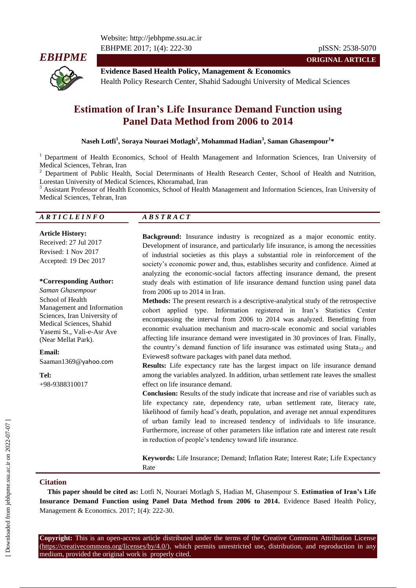Website: http://jebhpme.ssu.ac.ir EBHPME 2017; 1(4): 222-30 pISSN: 2538-5070



**ORIGINAL ARTICLE**

**Evidence Based Health Policy, Management & Economics** Health Policy Research Center, Shahid Sadoughi University of Medical Sciences

# **Estimation of Iran's Life Insurance Demand Function using Panel Data Method from 2006 to 2014**

### **Naseh Lotfi<sup>1</sup> , Soraya Nouraei Motlagh<sup>2</sup> , Mohammad Hadian<sup>3</sup> , Saman Ghasempour<sup>1</sup> \***

<sup>1</sup> Department of Health Economics, School of Health Management and Information Sciences, Iran University of Medical Sciences, Tehran, Iran

<sup>2</sup> Department of Public Health, Social Determinants of Health Research Center, School of Health and Nutrition, Lorestan University of Medical Sciences, Khoramabad, Iran

<sup>3</sup> Assistant Professor of Health Economics, School of Health Management and Information Sciences, Iran University of Medical Sciences, Tehran, Iran

#### *A R T I C L E I N F O A B S T R A C T*

**Article History:** Received: 27 Jul 2017 Revised: 1 Nov 2017 Accepted: 19 Dec 2017

#### **\*Corresponding Author:**

*Saman Ghasempour* School of Health Management and Information Sciences, Iran University of Medical Sciences, Shahid Yasemi St., Vali-e-Asr Ave (Near Mellat Park).

#### **Email:**

Saaman1369@yahoo.com

**Tel:** +98-9388310017

**Background:** Insurance industry is recognized as a major economic entity. Development of insurance, and particularly life insurance, is among the necessities of industrial societies as this plays a substantial role in reinforcement of the society's economic power and, thus, establishes security and confidence. Aimed at analyzing the economic-social factors affecting insurance demand, the present study deals with estimation of life insurance demand function using panel data from 2006 up to 2014 in Iran.

**Methods:** The present research is a descriptive-analytical study of the retrospective cohort applied type. Information registered in Iran's Statistics Center encompassing the interval from 2006 to 2014 was analyzed. Benefitting from economic evaluation mechanism and macro-scale economic and social variables affecting life insurance demand were investigated in 30 provinces of Iran. Finally, the country's demand function of life insurance was estimated using  $Stata_{12}$  and Eviewes8 software packages with panel data method.

**Results:** Life expectancy rate has the largest impact on life insurance demand among the variables analyzed. In addition, urban settlement rate leaves the smallest effect on life insurance demand.

**Conclusion:** Results of the study indicate that increase and rise of variables such as life expectancy rate, dependency rate, urban settlement rate, literacy rate, likelihood of family head's death, population, and average net annual expenditures of urban family lead to increased tendency of individuals to life insurance. Furthermore, increase of other parameters like inflation rate and interest rate result in reduction of people's tendency toward life insurance.

**Keywords:** Life Insurance; Demand; Inflation Rate; Interest Rate; Life Expectancy Rate

#### **Citation**

**This paper should be cited as:** Lotfi N, Nouraei Motlagh S, Hadian M, Ghasempour S. **Estimation of Iran's Life Insurance Demand Function using Panel Data Method from 2006 to 2014.** Evidence Based Health Policy, Management & Economics. 2017; 1(4): 222-30.

**Copyright:** This is an open-access article distributed under the terms of the Creative Commons Attribution License (https://creativecommons.org/licenses/by/4.0/), which permits unrestricted use, distribution, and reproduction in any medium, provided the original work is properly cited.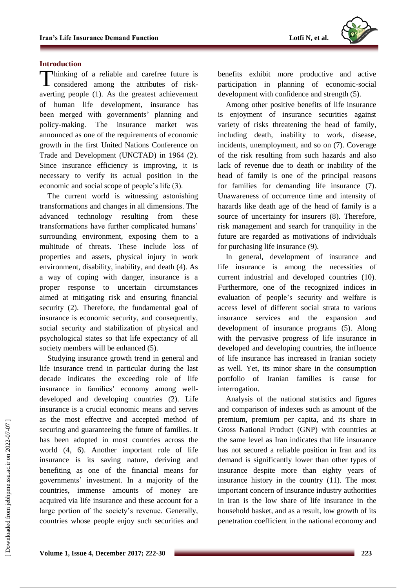

# **Introduction**

Thinking of a reliable and carefree future is considered among the attributes of riskconsidered among the attributes of riskaverting people (1). As the greatest achievement of human life development, insurance has been merged with governments' planning and policy-making. The insurance market was announced as one of the requirements of economic growth in the first United Nations Conference on Trade and Development (UNCTAD) in 1964 (2). Since insurance efficiency is improving, it is necessary to verify its actual position in the economic and social scope of people's life (3).

The current world is witnessing astonishing transformations and changes in all dimensions. The advanced technology resulting from these transformations have further complicated humans' surrounding environment, exposing them to a multitude of threats. These include loss of properties and assets, physical injury in work environment, disability, inability, and death (4). As a way of coping with danger, insurance is a proper response to uncertain circumstances aimed at mitigating risk and ensuring financial security (2). Therefore, the fundamental goal of insurance is economic security, and consequently, social security and stabilization of physical and psychological states so that life expectancy of all society members will be enhanced  $(5)$ .

Studying insurance growth trend in general and life insurance trend in particular during the last decade indicates the exceeding role of life insurance in families' economy among welldeveloped and developing countries (2). Life insurance is a crucial economic means and serves as the most effective and accepted method of securing and guaranteeing the future of families. It has been adopted in most countries across the world (4, 6). Another important role of life insurance is its saving nature, deriving and benefiting as one of the financial means for governments' investment. In a majority of the countries, immense amounts of money are acquired via life insurance and these account for a large portion of the society's revenue. Generally, countries whose people enjoy such securities and benefits exhibit more productive and active participation in planning of economic-social development with confidence and strength (5).

Among other positive benefits of life insurance is enjoyment of insurance securities against variety of risks threatening the head of family, including death, inability to work, disease, incidents, unemployment, and so on (7). Coverage of the risk resulting from such hazards and also lack of revenue due to death or inability of the head of family is one of the principal reasons for families for demanding life insurance (7). Unawareness of occurrence time and intensity of hazards like death age of the head of family is a source of uncertainty for insurers (8). Therefore, risk management and search for tranquility in the future are regarded as motivations of individuals for purchasing life insurance (9).

In general, development of insurance and life insurance is among the necessities of current industrial and developed countries (10). Furthermore, one of the recognized indices in evaluation of people's security and welfare is access level of different social strata to various insurance services and the expansion and development of insurance programs (5). Along with the pervasive progress of life insurance in developed and developing countries, the influence of life insurance has increased in Iranian society as well. Yet, its minor share in the consumption portfolio of Iranian families is cause for interrogation.

Analysis of the national statistics and figures and comparison of indexes such as amount of the premium, premium per capita, and its share in Gross National Product (GNP) with countries at the same level as Iran indicates that life insurance has not secured a reliable position in Iran and its demand is significantly lower than other types of insurance despite more than eighty years of insurance history in the country (11). The most important concern of insurance industry authorities in Iran is the low share of life insurance in the household basket, and as a result, low growth of its penetration coefficient in the national economy and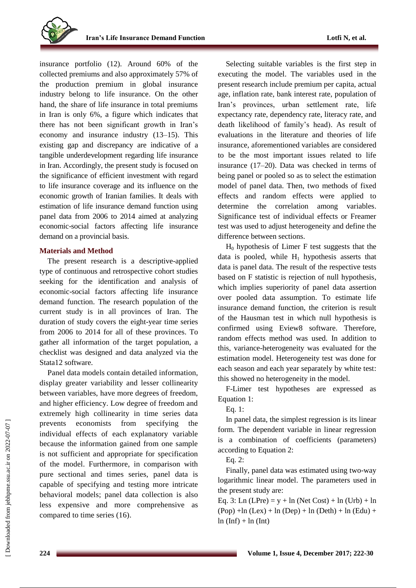insurance portfolio (12). Around 60% of the collected premiums and also approximately 57% of the production premium in global insurance industry belong to life insurance. On the other hand, the share of life insurance in total premiums in Iran is only 6%, a figure which indicates that there has not been significant growth in Iran's economy and insurance industry (13–15). This existing gap and discrepancy are indicative of a tangible underdevelopment regarding life insurance in Iran. Accordingly, the present study is focused on the significance of efficient investment with regard to life insurance coverage and its influence on the economic growth of Iranian families. It deals with estimation of life insurance demand function using panel data from 2006 to 2014 aimed at analyzing economic-social factors affecting life insurance demand on a provincial basis.

# **Materials and Method**

The present research is a descriptive-applied type of continuous and retrospective cohort studies seeking for the identification and analysis of economic-social factors affecting life insurance demand function. The research population of the current study is in all provinces of Iran. The duration of study covers the eight-year time series from 2006 to 2014 for all of these provinces. To gather all information of the target population, a checklist was designed and data analyzed via the Stata12 software.

Panel data models contain detailed information, display greater variability and lesser collinearity between variables, have more degrees of freedom, and higher efficiency. Low degree of freedom and extremely high collinearity in time series data prevents economists from specifying the individual effects of each explanatory variable because the information gained from one sample is not sufficient and appropriate for specification of the model. Furthermore, in comparison with pure sectional and times series, panel data is capable of specifying and testing more intricate behavioral models; panel data collection is also less expensive and more comprehensive as compared to time series (16).

Selecting suitable variables is the first step in executing the model. The variables used in the present research include premium per capita, actual age, inflation rate, bank interest rate, population of Iran's provinces, urban settlement rate, life expectancy rate, dependency rate, literacy rate, and death likelihood of family's head). As result of evaluations in the literature and theories of life insurance, aforementioned variables are considered to be the most important issues related to life insurance (17–20). Data was checked in terms of being panel or pooled so as to select the estimation model of panel data. Then, two methods of fixed effects and random effects were applied to determine the correlation among variables. Significance test of individual effects or Freamer test was used to adjust heterogeneity and define the difference between sections.

H<sup>0</sup> hypothesis of Limer F test suggests that the data is pooled, while  $H_1$  hypothesis asserts that data is panel data. The result of the respective tests based on F statistic is rejection of null hypothesis, which implies superiority of panel data assertion over pooled data assumption. To estimate life insurance demand function, the criterion is result of the Hausman test in which null hypothesis is confirmed using Eview8 software. Therefore, random effects method was used. In addition to this, variance-heterogeneity was evaluated for the estimation model. Heterogeneity test was done for each season and each year separately by white test: this showed no heterogeneity in the model.

F-Limer test hypotheses are expressed as Equation 1:

## Eq. 1:

In panel data, the simplest regression is its linear form. The dependent variable in linear regression is a combination of coefficients (parameters) according to Equation 2:

Eq. 2:

Finally, panel data was estimated using two-way logarithmic linear model. The parameters used in the present study are:

Eq. 3: Ln  $(LPre) = y + ln (Net Cost) + ln (Urb) + ln$  $(Pop) + ln (Lex) + ln (Dep) + ln (Deth) + ln (Edu) +$  $ln (Inf) + ln (Int)$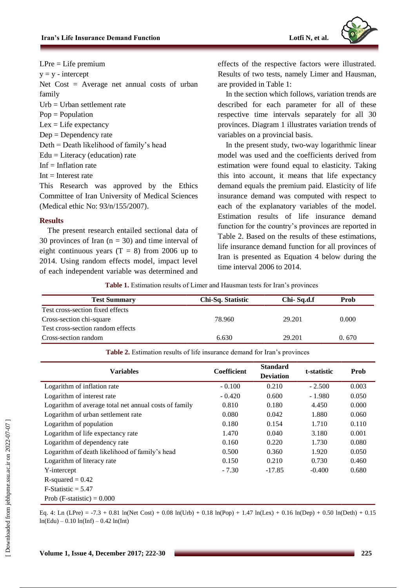

 $LPre = Life$  premium  $y = y -$  intercept Net Cost = Average net annual costs of urban family Urb = Urban settlement rate Pop = Population  $Lex = Life$  expectancy  $Dep = Dependercy rate$ Deth = Death likelihood of family's head Edu = Literacy (education) rate Inf = Inflation rate  $Int = Interest rate$ 

This Research was approved by the Ethics Committee of Iran University of Medical Sciences (Medical ethic No: 93/n/155/2007).

# **Results**

The present research entailed sectional data of 30 provinces of Iran  $(n = 30)$  and time interval of eight continuous years  $(T = 8)$  from 2006 up to 2014. Using random effects model, impact level of each independent variable was determined and effects of the respective factors were illustrated. Results of two tests, namely Limer and Hausman, are provided in Table 1:

In the section which follows, variation trends are described for each parameter for all of these respective time intervals separately for all 30 provinces. Diagram 1 illustrates variation trends of variables on a provincial basis.

In the present study, two-way logarithmic linear model was used and the coefficients derived from estimation were found equal to elasticity. Taking this into account, it means that life expectancy demand equals the premium paid. Elasticity of life insurance demand was computed with respect to each of the explanatory variables of the model. Estimation results of life insurance demand function for the country's provinces are reported in Table 2. Based on the results of these estimations, life insurance demand function for all provinces of Iran is presented as Equation 4 below during the time interval 2006 to 2014.

**Table 1.** Estimation results of Limer and Hausman tests for Iran's provinces

| <b>Test Summary</b>               | Chi-Sq. Statistic | Chi-Sq.d.f | Prob  |
|-----------------------------------|-------------------|------------|-------|
| Test cross-section fixed effects  |                   |            |       |
| Cross-section chi-square          | 78.960            | 29.201     | 0.000 |
| Test cross-section random effects |                   |            |       |
| Cross-section random              | 6.630             | 29.201     | 0.670 |

**Table 2.** Estimation results of life insurance demand for Iran's provinces

| <b>Variables</b>                                      | Coefficient | <b>Standard</b><br><b>Deviation</b> | t-statistic | Prob  |
|-------------------------------------------------------|-------------|-------------------------------------|-------------|-------|
| Logarithm of inflation rate                           | $-0.100$    | 0.210                               | $-2.500$    | 0.003 |
| Logarithm of interest rate                            | $-0.420$    | 0.600                               | $-1.980$    | 0.050 |
| Logarithm of average total net annual costs of family | 0.810       | 0.180                               | 4.450       | 0.000 |
| Logarithm of urban settlement rate                    | 0.080       | 0.042                               | 1.880       | 0.060 |
| Logarithm of population                               | 0.180       | 0.154                               | 1.710       | 0.110 |
| Logarithm of life expectancy rate                     | 1.470       | 0.040                               | 3.180       | 0.001 |
| Logarithm of dependency rate                          | 0.160       | 0.220                               | 1.730       | 0.080 |
| Logarithm of death likelihood of family's head        | 0.500       | 0.360                               | 1.920       | 0.050 |
| Logarithm of literacy rate                            | 0.150       | 0.210                               | 0.730       | 0.460 |
| Y-intercept                                           | $-7.30$     | $-17.85$                            | $-0.400$    | 0.680 |
| $R$ -squared = 0.42                                   |             |                                     |             |       |
| $F-Statistic = 5.47$                                  |             |                                     |             |       |
| Prob (F-statistic) = $0.000$                          |             |                                     |             |       |

Eq. 4: Ln (LPre) = -7.3 + 0.81 ln(Net Cost) + 0.08 ln(Urb) + 0.18 ln(Pop) + 1.47 ln(Lex) + 0.16 ln(Dep) + 0.50 ln(Deth) + 0.15  $ln(Edu) - 0.10 ln(Inf) - 0.42 ln(Int)$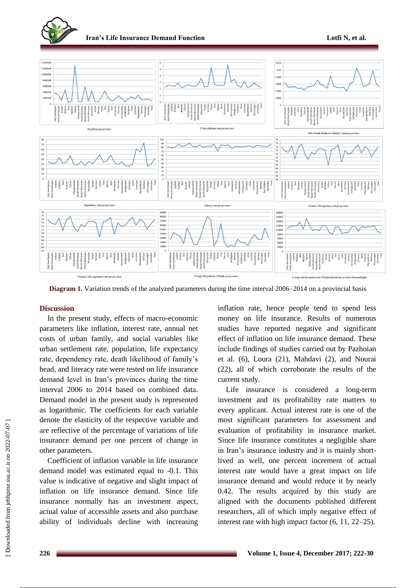



**Diagram 1.** Variation trends of the analyzed parameters during the time interval 2006–2014 on a provincial basis

#### **Discussion**

In the present study, effects of macro-economic parameters like inflation, interest rate, annual net costs of urban family, and social variables like urban settlement rate, population, life expectancy rate, dependency rate, death likelihood of family's head, and literacy rate were tested on life insurance demand level in Iran's provinces during the time interval 2006 to 2014 based on combined data. Demand model in the present study is represented as logarithmic. The coefficients for each variable denote the elasticity of the respective variable and are reflective of the percentage of variations of life insurance demand per one percent of change in other parameters.

Coefficient of inflation variable in life insurance demand model was estimated equal to -0.1. This value is indicative of negative and slight impact of inflation on life insurance demand. Since life insurance normally has an investment aspect, actual value of accessible assets and also purchase ability of individuals decline with increasing

inflation rate, hence people tend to spend less money on life insurance. Results of numerous studies have reported negative and significant effect of inflation on life insurance demand. These include findings of studies carried out by Pazhoian et al. (6), Loura (21), Mahdavi (2), and Nourai (22), all of which corroborate the results of the current study.

Life insurance is considered a long-term investment and its profitability rate matters to every applicant. Actual interest rate is one of the most significant parameters for assessment and evaluation of profitability in insurance market. Since life insurance constitutes a negligible share in Iran's insurance industry and it is mainly shortlived as well, one percent increment of actual interest rate would have a great impact on life insurance demand and would reduce it by nearly 0.42. The results acquired by this study are aligned with the documents published different researchers, all of which imply negative effect of interest rate with high impact factor (6, 11, 22–25).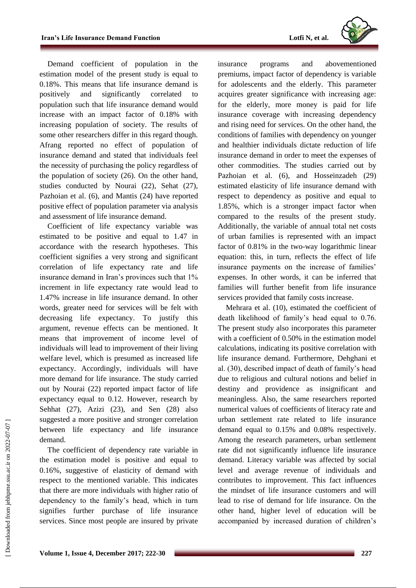

Demand coefficient of population in the estimation model of the present study is equal to 0.18%. This means that life insurance demand is positively and significantly correlated to population such that life insurance demand would increase with an impact factor of 0.18% with increasing population of society. The results of some other researchers differ in this regard though. Afrang reported no effect of population of insurance demand and stated that individuals feel the necessity of purchasing the policy regardless of the population of society (26). On the other hand, studies conducted by Nourai (22), Sehat (27), Pazhoian et al. (6), and Mantis (24) have reported positive effect of population parameter via analysis and assessment of life insurance demand.

Coefficient of life expectancy variable was estimated to be positive and equal to 1.47 in accordance with the research hypotheses. This coefficient signifies a very strong and significant correlation of life expectancy rate and life insurance demand in Iran's provinces such that 1% increment in life expectancy rate would lead to 1.47% increase in life insurance demand. In other words, greater need for services will be felt with decreasing life expectancy. To justify this argument, revenue effects can be mentioned. It means that improvement of income level of individuals will lead to improvement of their living welfare level, which is presumed as increased life expectancy. Accordingly, individuals will have more demand for life insurance. The study carried out by Nourai (22) reported impact factor of life expectancy equal to 0.12. However, research by Sehhat (27), Azizi (23), and Sen (28) also suggested a more positive and stronger correlation between life expectancy and life insurance demand.

The coefficient of dependency rate variable in the estimation model is positive and equal to 0.16%, suggestive of elasticity of demand with respect to the mentioned variable. This indicates that there are more individuals with higher ratio of dependency to the family's head, which in turn signifies further purchase of life insurance services. Since most people are insured by private insurance programs and abovementioned premiums, impact factor of dependency is variable for adolescents and the elderly. This parameter acquires greater significance with increasing age: for the elderly, more money is paid for life insurance coverage with increasing dependency and rising need for services. On the other hand, the conditions of families with dependency on younger and healthier individuals dictate reduction of life insurance demand in order to meet the expenses of other commodities. The studies carried out by Pazhoian et al. (6), and Hosseinzadeh (29) estimated elasticity of life insurance demand with respect to dependency as positive and equal to 1.85%, which is a stronger impact factor when compared to the results of the present study. Additionally, the variable of annual total net costs of urban families is represented with an impact factor of 0.81% in the two-way logarithmic linear equation: this, in turn, reflects the effect of life insurance payments on the increase of families' expenses. In other words, it can be inferred that families will further benefit from life insurance services provided that family costs increase.

Mehrara et al. (10), estimated the coefficient of death likelihood of family's head equal to 0.76. The present study also incorporates this parameter with a coefficient of 0.50% in the estimation model calculations, indicating its positive correlation with life insurance demand. Furthermore, Dehghani et al. (30), described impact of death of family's head due to religious and cultural notions and belief in destiny and providence as insignificant and meaningless. Also, the same researchers reported numerical values of coefficients of literacy rate and urban settlement rate related to life insurance demand equal to 0.15% and 0.08% respectively. Among the research parameters, urban settlement rate did not significantly influence life insurance demand. Literacy variable was affected by social level and average revenue of individuals and contributes to improvement. This fact influences the mindset of life insurance customers and will lead to rise of demand for life insurance. On the other hand, higher level of education will be accompanied by increased duration of children's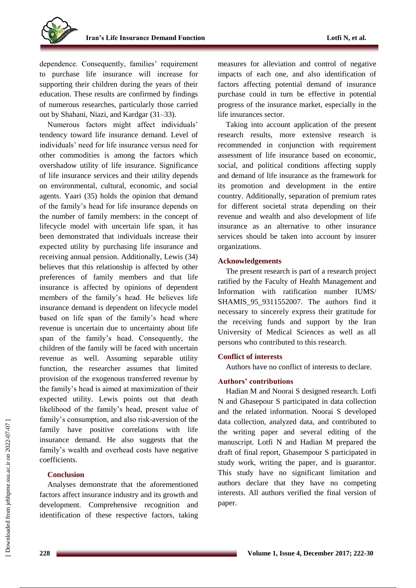dependence. Consequently, families' requirement to purchase life insurance will increase for supporting their children during the years of their education. These results are confirmed by findings of numerous researches, particularly those carried out by Shahani, Niazi, and Kardgar (31–33).

Numerous factors might affect individuals' tendency toward life insurance demand. Level of individuals' need for life insurance versus need for other commodities is among the factors which overshadow utility of life insurance. Significance of life insurance services and their utility depends on environmental, cultural, economic, and social agents. Yaari (35) holds the opinion that demand of the family's head for life insurance depends on the number of family members: in the concept of lifecycle model with uncertain life span, it has been demonstrated that individuals increase their expected utility by purchasing life insurance and receiving annual pension. Additionally, Lewis (34) believes that this relationship is affected by other preferences of family members and that life insurance is affected by opinions of dependent members of the family's head. He believes life insurance demand is dependent on lifecycle model based on life span of the family's head where revenue is uncertain due to uncertainty about life span of the family's head. Consequently, the children of the family will be faced with uncertain revenue as well. Assuming separable utility function, the researcher assumes that limited provision of the exogenous transferred revenue by the family's head is aimed at maximization of their expected utility. Lewis points out that death likelihood of the family's head, present value of family's consumption, and also risk-aversion of the family have positive correlations with life insurance demand. He also suggests that the family's wealth and overhead costs have negative coefficients.

## **Conclusion**

Analyses demonstrate that the aforementioned factors affect insurance industry and its growth and development. Comprehensive recognition and identification of these respective factors, taking measures for alleviation and control of negative impacts of each one, and also identification of factors affecting potential demand of insurance purchase could in turn be effective in potential progress of the insurance market, especially in the life insurances sector.

Taking into account application of the present research results, more extensive research is recommended in conjunction with requirement assessment of life insurance based on economic, social, and political conditions affecting supply and demand of life insurance as the framework for its promotion and development in the entire country. Additionally, separation of premium rates for different societal strata depending on their revenue and wealth and also development of life insurance as an alternative to other insurance services should be taken into account by insurer organizations.

### **Acknowledgements**

The present research is part of a research project ratified by the Faculty of Health Management and Information with ratification number IUMS/ SHAMIS\_95\_9311552007. The authors find it necessary to sincerely express their gratitude for the receiving funds and support by the Iran University of Medical Sciences as well as all persons who contributed to this research.

#### **Conflict of interests**

Authors have no conflict of interests to declare.

# **Authors' contributions**

Hadian M and Noorai S designed research. Lotfi N and Ghasepour S participated in data collection and the related information. Noorai S developed data collection, analyzed data, and contributed to the writing paper and several editing of the manuscript. Lotfi N and Hadian M prepared the draft of final report, Ghasempour S participated in study work, writing the paper, and is guarantor. This study have no significant limitation and authors declare that they have no competing interests. All authors verified the final version of paper.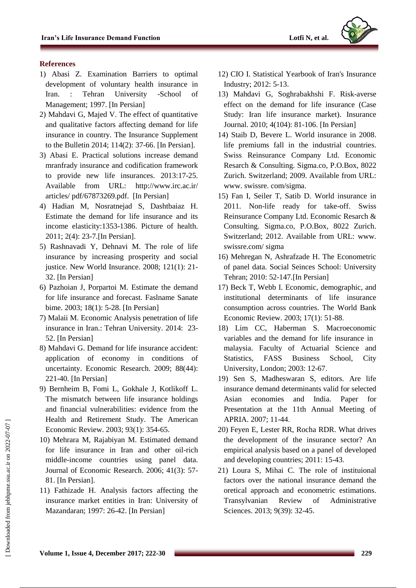

## **References**

- 1) Abasi Z. Examination Barriers to optimal development of voluntary health insurance in Iran. : Tehran University -School of Management; 1997. [In Persian]
- 2) Mahdavi G, Majed V. The effect of quantitative and qualitative factors affecting demand for life insurance in country. The Insurance Supplement to the Bulletin 2014; 114(2): 37-66. [In Persian].
- 3) Abasi E. Practical solutions increase demand mranfrady insurance and codification framework to provide new life insurances. 2013:17-25. Available from URL: http://www.irc.ac.ir/ articles/ pdf/67873269.pdf. [In Persian]
- 4) Hadian M, Nosratnejad S, Dashtbaiaz H. Estimate the demand for life insurance and its income elasticity:1353-1386. Picture of health. 2011; 2(4): 23-7.[In Persian].
- 5) Rashnavadi Y, Dehnavi M. The role of life insurance by increasing prosperity and social justice. New World Insurance. 2008; 121(1): 21- 32. [In Persian]
- 6) Pazhoian J, Porpartoi M. Estimate the demand for life insurance and forecast. Faslname Sanate bime. 2003; 18(1): 5-28. [In Persian]
- 7) Malaii M. Economic Analysis penetration of life insurance in Iran.: Tehran University. 2014: 23- 52. [In Persian]
- 8) Mahdavi G. Demand for life insurance accident: application of economy in conditions of uncertainty. Economic Research. 2009; 88(44): 221-40. [In Persian]
- 9) Bernheim B, Fomi L, Gokhale J, Kotlikoff L. The mismatch between life insurance holdings and financial vulnerabilities: evidence from the Health and Retirement Study. The American Economic Review. 2003; 93(1): 354-65.
- 10) Mehrara M, Rajabiyan M. Estimated demand for life insurance in Iran and other oil-rich middle-income countries using panel data. Journal of Economic Research. 2006; 41(3): 57- 81. [In Persian].
- 11) Fathizade H. Analysis factors affecting the insurance market entities in Iran: University of Mazandaran; 1997: 26-42. [In Persian]
- 12) CIO I. Statistical Yearbook of Iran's Insurance Industry; 2012: 5-13.
- 13) Mahdavi G, Soghrabakhshi F. Risk-averse effect on the demand for life insurance (Case Study: Iran life insurance market). Insurance Journal. 2010; 4(104): 81-106. [In Persian]
- 14) Staib D, Bevere L. World insurance in 2008. life premiums fall in the industrial countries. Swiss Reinsurance Company Ltd. Economic Resarch & Consulting. Sigma.co, P.O.Box, 8022 Zurich. Switzerland; 2009. Available from URL: www. swissre. com/sigma.
- 15) Fan I, Seiler T, Satib D. World insurance in 2011. Non-life ready for take-off. Swiss Reinsurance Company Ltd. Economic Resarch & Consulting. Sigma.co, P.O.Box, 8022 Zurich. Switzerland; 2012. Available from URL: www. swissre.com/ sigma
- 16) Mehregan N, Ashrafzade H. The Econometric of panel data. Social Seinces School: University Tehran; 2010: 52-147.[In Persian]
- 17) Beck T, Webb I. Economic, demographic, and institutional determinants of life insurance consumption across countries. The World Bank Economic Review. 2003; 17(1): 51-88.
- 18) Lim CC, Haberman S. Macroeconomic variables and the demand for life insurance in malaysia. Faculty of Actuarial Science and Statistics, FASS Business School, City University, London; 2003: 12-67.
- 19) Sen S, Madheswaran S, editors. Are life insurance demand determinants valid for selected Asian economies and India. Paper for Presentation at the 11th Annual Meeting of APRIA. 2007; 11-44.
- 20) Feyen E, Lester RR, Rocha RDR. What drives the development of the insurance sector? An empirical analysis based on a panel of developed and developing countries; 2011: 15-43.
- 21) Loura S, Mihai C. The role of instituional factors over the national insurance demand the oretical approach and econometric estimations. Transylvanian Review of Administrative Sciences. 2013; 9(39): 32-45.